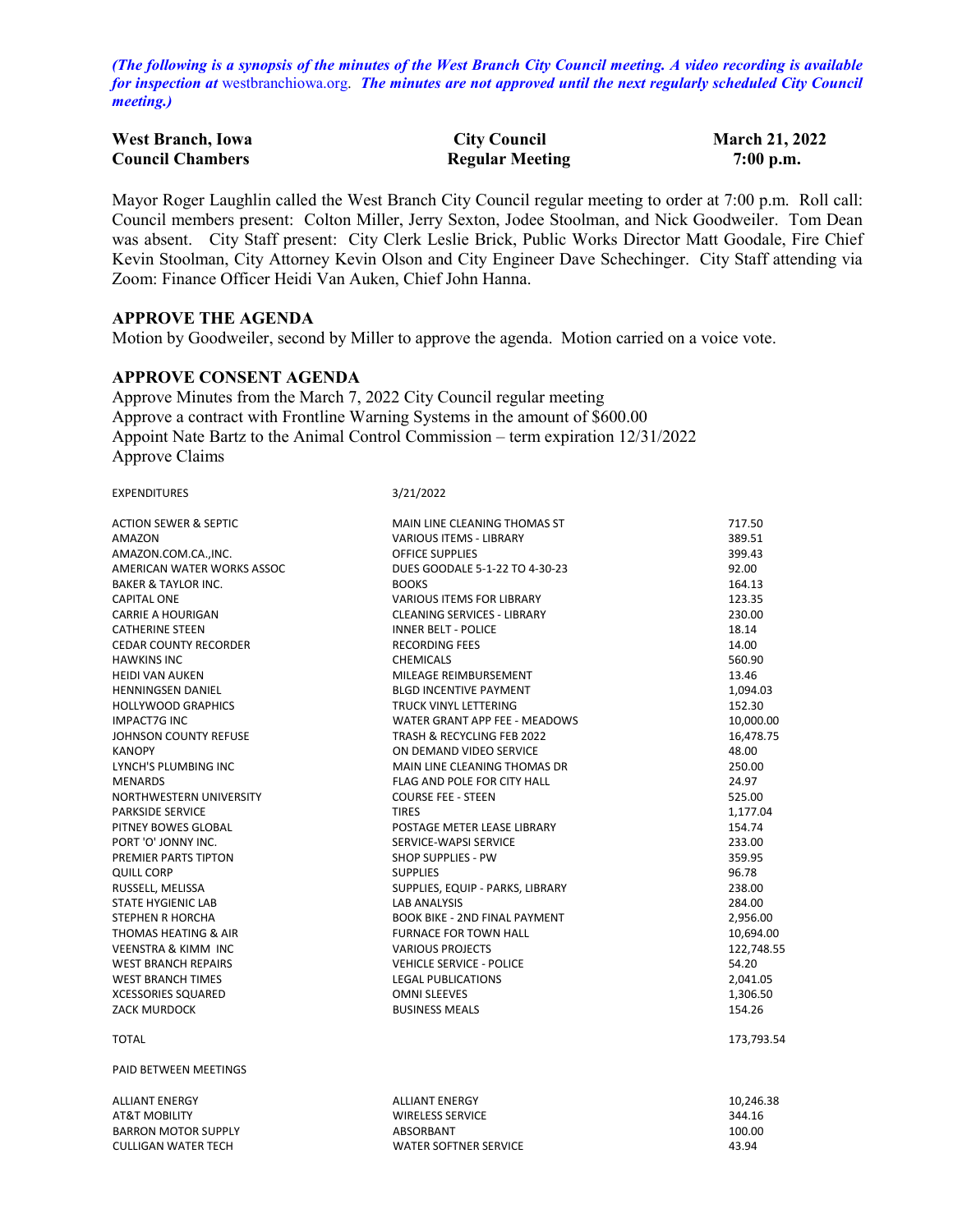*(The following is a synopsis of the minutes of the West Branch City Council meeting. A video recording is available for inspection at* [westbranchiowa.org.](https://westbranchiowa.org/city-of-west-branch/mayor-city-council/meetings/) *The minutes are not approved until the next regularly scheduled City Council meeting.)*

| <b>West Branch, Iowa</b> | <b>City Council</b>    | <b>March 21, 2022</b> |
|--------------------------|------------------------|-----------------------|
| <b>Council Chambers</b>  | <b>Regular Meeting</b> | $7:00$ p.m.           |

Mayor Roger Laughlin called the West Branch City Council regular meeting to order at 7:00 p.m. Roll call: Council members present: Colton Miller, Jerry Sexton, Jodee Stoolman, and Nick Goodweiler. Tom Dean was absent. City Staff present: City Clerk Leslie Brick, Public Works Director Matt Goodale, Fire Chief Kevin Stoolman, City Attorney Kevin Olson and City Engineer Dave Schechinger. City Staff attending via Zoom: Finance Officer Heidi Van Auken, Chief John Hanna.

#### **APPROVE THE AGENDA**

Motion by Goodweiler, second by Miller to approve the agenda. Motion carried on a voice vote.

## **APPROVE CONSENT AGENDA**

Approve Minutes from the March 7, 2022 City Council regular meeting Approve a contract with Frontline Warning Systems in the amount of \$600.00 Appoint Nate Bartz to the Animal Control Commission – term expiration 12/31/2022 Approve Claims

| <b>EXPENDITURES</b>              | 3/21/2022                            |            |
|----------------------------------|--------------------------------------|------------|
| <b>ACTION SEWER &amp; SEPTIC</b> | MAIN LINE CLEANING THOMAS ST         | 717.50     |
| AMAZON                           | <b>VARIOUS ITEMS - LIBRARY</b>       | 389.51     |
| AMAZON.COM.CA., INC.             | <b>OFFICE SUPPLIES</b>               | 399.43     |
| AMERICAN WATER WORKS ASSOC       | DUES GOODALE 5-1-22 TO 4-30-23       | 92.00      |
| <b>BAKER &amp; TAYLOR INC.</b>   | <b>BOOKS</b>                         | 164.13     |
| <b>CAPITAL ONE</b>               | <b>VARIOUS ITEMS FOR LIBRARY</b>     | 123.35     |
| <b>CARRIE A HOURIGAN</b>         | <b>CLEANING SERVICES - LIBRARY</b>   | 230.00     |
| <b>CATHERINE STEEN</b>           | <b>INNER BELT - POLICE</b>           | 18.14      |
| <b>CEDAR COUNTY RECORDER</b>     | <b>RECORDING FEES</b>                | 14.00      |
| <b>HAWKINS INC</b>               | <b>CHEMICALS</b>                     | 560.90     |
| <b>HEIDI VAN AUKEN</b>           | MILEAGE REIMBURSEMENT                | 13.46      |
| <b>HENNINGSEN DANIEL</b>         | <b>BLGD INCENTIVE PAYMENT</b>        | 1,094.03   |
| <b>HOLLYWOOD GRAPHICS</b>        | <b>TRUCK VINYL LETTERING</b>         | 152.30     |
| <b>IMPACT7G INC</b>              | WATER GRANT APP FEE - MEADOWS        | 10,000.00  |
| JOHNSON COUNTY REFUSE            | TRASH & RECYCLING FEB 2022           | 16,478.75  |
| <b>KANOPY</b>                    | ON DEMAND VIDEO SERVICE              | 48.00      |
| LYNCH'S PLUMBING INC             | MAIN LINE CLEANING THOMAS DR         | 250.00     |
| <b>MENARDS</b>                   | <b>FLAG AND POLE FOR CITY HALL</b>   | 24.97      |
| NORTHWESTERN UNIVERSITY          | <b>COURSE FEE - STEEN</b>            | 525.00     |
| <b>PARKSIDE SERVICE</b>          | <b>TIRES</b>                         | 1,177.04   |
| PITNEY BOWES GLOBAL              | POSTAGE METER LEASE LIBRARY          | 154.74     |
| PORT 'O' JONNY INC.              | SERVICE-WAPSI SERVICE                | 233.00     |
| PREMIER PARTS TIPTON             | <b>SHOP SUPPLIES - PW</b>            | 359.95     |
| <b>QUILL CORP</b>                | <b>SUPPLIES</b>                      | 96.78      |
| RUSSELL, MELISSA                 | SUPPLIES, EQUIP - PARKS, LIBRARY     | 238.00     |
| STATE HYGIENIC LAB               | <b>LAB ANALYSIS</b>                  | 284.00     |
| <b>STEPHEN R HORCHA</b>          | <b>BOOK BIKE - 2ND FINAL PAYMENT</b> | 2,956.00   |
| THOMAS HEATING & AIR             | <b>FURNACE FOR TOWN HALL</b>         | 10,694.00  |
| <b>VEENSTRA &amp; KIMM INC</b>   | <b>VARIOUS PROJECTS</b>              | 122,748.55 |
| <b>WEST BRANCH REPAIRS</b>       | <b>VEHICLE SERVICE - POLICE</b>      | 54.20      |
| <b>WEST BRANCH TIMES</b>         | <b>LEGAL PUBLICATIONS</b>            | 2,041.05   |
| <b>XCESSORIES SQUARED</b>        | <b>OMNI SLEEVES</b>                  | 1,306.50   |
| <b>ZACK MURDOCK</b>              | <b>BUSINESS MEALS</b>                | 154.26     |
| <b>TOTAL</b>                     |                                      | 173,793.54 |
| PAID BETWEEN MEETINGS            |                                      |            |
| <b>ALLIANT ENERGY</b>            | <b>ALLIANT ENERGY</b>                | 10,246.38  |
| <b>AT&amp;T MOBILITY</b>         | <b>WIRELESS SERVICE</b>              | 344.16     |
| <b>BARRON MOTOR SUPPLY</b>       | ABSORBANT                            | 100.00     |
| <b>CULLIGAN WATER TECH</b>       | <b>WATER SOFTNER SERVICE</b>         | 43.94      |
|                                  |                                      |            |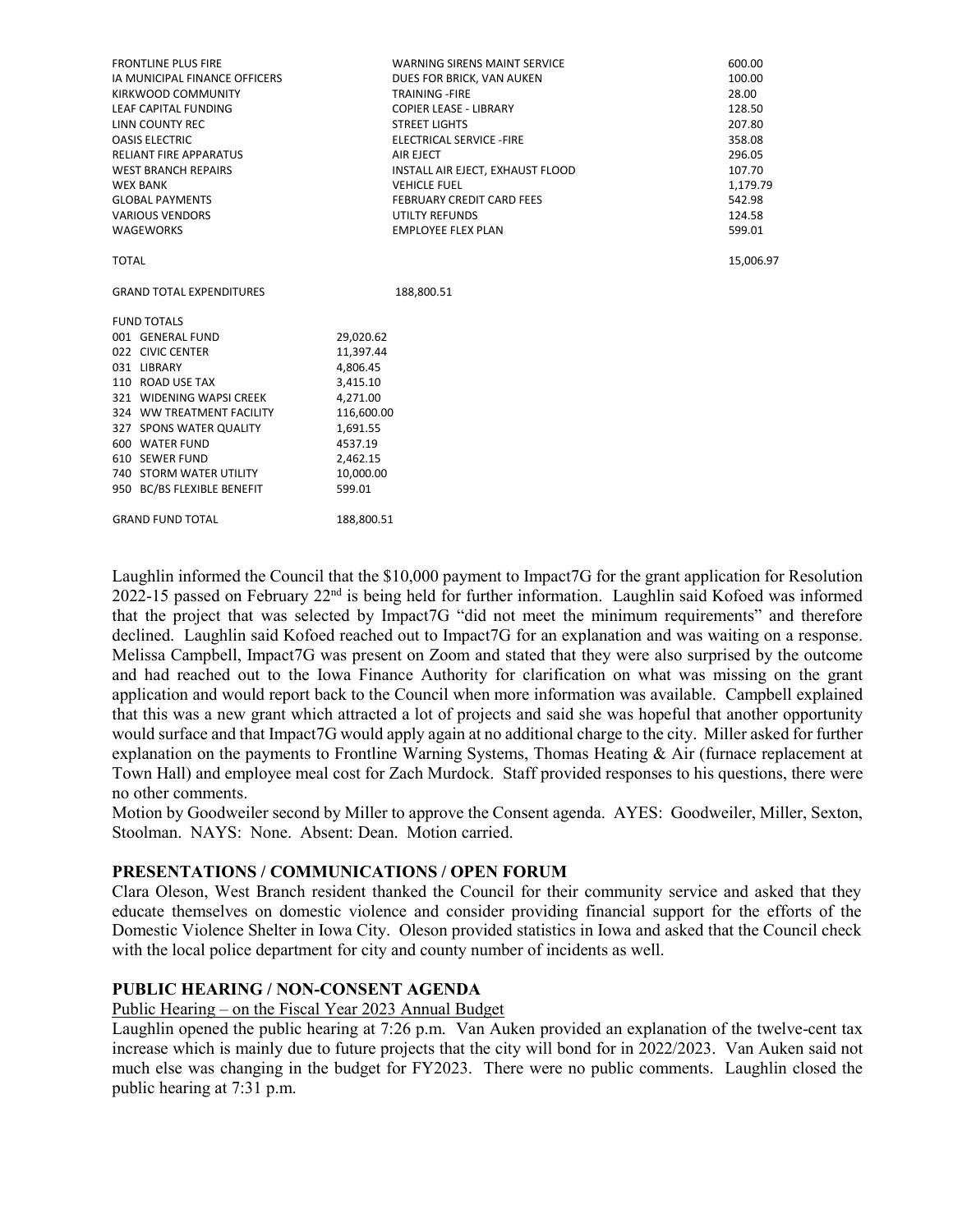| <b>FRONTLINE PLUS FIRE</b>      | <b>WARNING SIRENS MAINT SERVICE</b> | 600.00    |
|---------------------------------|-------------------------------------|-----------|
| IA MUNICIPAL FINANCE OFFICERS   | DUES FOR BRICK, VAN AUKEN           | 100.00    |
| KIRKWOOD COMMUNITY              | <b>TRAINING-FIRE</b>                | 28.00     |
| LEAF CAPITAL FUNDING            | <b>COPIER LEASE - LIBRARY</b>       | 128.50    |
| LINN COUNTY REC                 | <b>STREET LIGHTS</b>                | 207.80    |
| <b>OASIS ELECTRIC</b>           | ELECTRICAL SERVICE - FIRE           | 358.08    |
| <b>RELIANT FIRE APPARATUS</b>   | AIR EJECT                           | 296.05    |
| <b>WEST BRANCH REPAIRS</b>      | INSTALL AIR EJECT, EXHAUST FLOOD    | 107.70    |
| <b>WEX BANK</b>                 | <b>VEHICLE FUEL</b>                 | 1,179.79  |
| <b>GLOBAL PAYMENTS</b>          | <b>FEBRUARY CREDIT CARD FEES</b>    | 542.98    |
| <b>VARIOUS VENDORS</b>          | <b>UTILTY REFUNDS</b>               | 124.58    |
| <b>WAGEWORKS</b>                | <b>EMPLOYEE FLEX PLAN</b>           | 599.01    |
| <b>TOTAL</b>                    |                                     | 15,006.97 |
| <b>GRAND TOTAL EXPENDITURES</b> | 188,800.51                          |           |
| <b>FUND TOTALS</b>              |                                     |           |
| 001 GENERAL FUND                | 29,020.62                           |           |
| 022 CIVIC CENTER                | 11,397.44                           |           |
| 031 LIBRARY                     | 4,806.45                            |           |
| 110 ROAD USE TAX                | 3,415.10                            |           |
| 321 WIDENING WAPSI CREEK        | 4,271.00                            |           |
| 324 WW TREATMENT FACILITY       | 116,600.00                          |           |
| 327 SPONS WATER QUALITY         | 1,691.55                            |           |
| 600 WATER FUND                  | 4537.19                             |           |
| 610 SEWER FUND                  | 2,462.15                            |           |
| 740 STORM WATER UTILITY         | 10,000.00                           |           |
| 950 BC/BS FLEXIBLE BENEFIT      | 599.01                              |           |
| <b>GRAND FUND TOTAL</b>         | 188.800.51                          |           |

Laughlin informed the Council that the \$10,000 payment to Impact7G for the grant application for Resolution 2022-15 passed on February 22nd is being held for further information. Laughlin said Kofoed was informed that the project that was selected by Impact7G "did not meet the minimum requirements" and therefore declined. Laughlin said Kofoed reached out to Impact7G for an explanation and was waiting on a response. Melissa Campbell, Impact7G was present on Zoom and stated that they were also surprised by the outcome and had reached out to the Iowa Finance Authority for clarification on what was missing on the grant application and would report back to the Council when more information was available. Campbell explained that this was a new grant which attracted a lot of projects and said she was hopeful that another opportunity would surface and that Impact7G would apply again at no additional charge to the city. Miller asked for further explanation on the payments to Frontline Warning Systems, Thomas Heating & Air (furnace replacement at Town Hall) and employee meal cost for Zach Murdock. Staff provided responses to his questions, there were no other comments.

Motion by Goodweiler second by Miller to approve the Consent agenda. AYES: Goodweiler, Miller, Sexton, Stoolman. NAYS: None. Absent: Dean. Motion carried.

### **PRESENTATIONS / COMMUNICATIONS / OPEN FORUM**

Clara Oleson, West Branch resident thanked the Council for their community service and asked that they educate themselves on domestic violence and consider providing financial support for the efforts of the Domestic Violence Shelter in Iowa City. Oleson provided statistics in Iowa and asked that the Council check with the local police department for city and county number of incidents as well.

#### **PUBLIC HEARING / NON-CONSENT AGENDA**

Public Hearing – on the Fiscal Year 2023 Annual Budget

Laughlin opened the public hearing at 7:26 p.m. Van Auken provided an explanation of the twelve-cent tax increase which is mainly due to future projects that the city will bond for in 2022/2023. Van Auken said not much else was changing in the budget for FY2023. There were no public comments. Laughlin closed the public hearing at 7:31 p.m.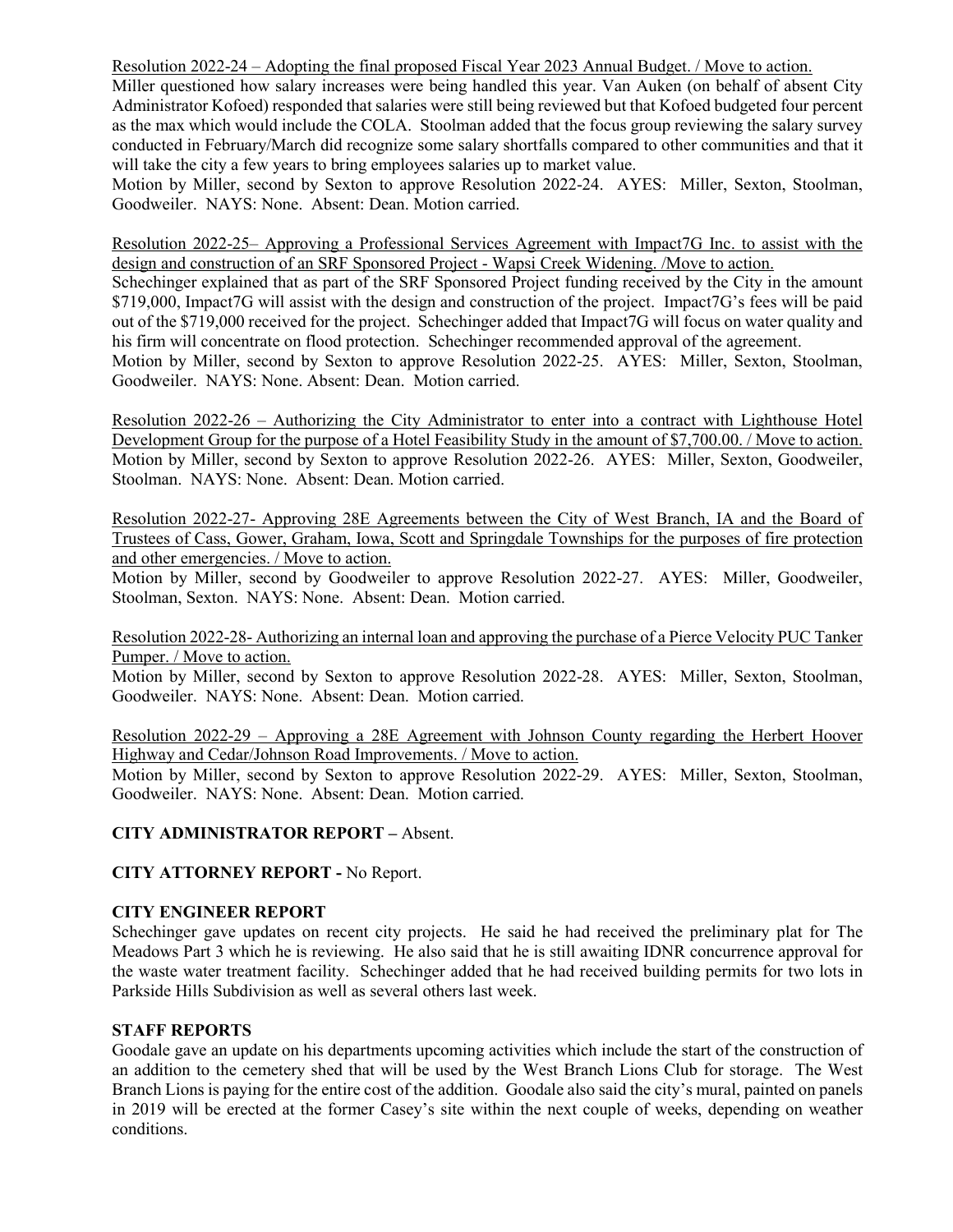Resolution 2022-24 – Adopting the final proposed Fiscal Year 2023 Annual Budget. / Move to action.

Miller questioned how salary increases were being handled this year. Van Auken (on behalf of absent City Administrator Kofoed) responded that salaries were still being reviewed but that Kofoed budgeted four percent as the max which would include the COLA. Stoolman added that the focus group reviewing the salary survey conducted in February/March did recognize some salary shortfalls compared to other communities and that it will take the city a few years to bring employees salaries up to market value.

Motion by Miller, second by Sexton to approve Resolution 2022-24. AYES: Miller, Sexton, Stoolman, Goodweiler. NAYS: None. Absent: Dean. Motion carried.

Resolution 2022-25– Approving a Professional Services Agreement with Impact7G Inc. to assist with the design and construction of an SRF Sponsored Project - Wapsi Creek Widening. /Move to action.

Schechinger explained that as part of the SRF Sponsored Project funding received by the City in the amount \$719,000, Impact7G will assist with the design and construction of the project. Impact7G's fees will be paid out of the \$719,000 received for the project. Schechinger added that Impact7G will focus on water quality and his firm will concentrate on flood protection. Schechinger recommended approval of the agreement.

Motion by Miller, second by Sexton to approve Resolution 2022-25. AYES: Miller, Sexton, Stoolman, Goodweiler. NAYS: None. Absent: Dean. Motion carried.

Resolution 2022-26 – Authorizing the City Administrator to enter into a contract with Lighthouse Hotel Development Group for the purpose of a Hotel Feasibility Study in the amount of \$7,700.00. / Move to action. Motion by Miller, second by Sexton to approve Resolution 2022-26. AYES: Miller, Sexton, Goodweiler, Stoolman. NAYS: None. Absent: Dean. Motion carried.

Resolution 2022-27- Approving 28E Agreements between the City of West Branch, IA and the Board of Trustees of Cass, Gower, Graham, Iowa, Scott and Springdale Townships for the purposes of fire protection and other emergencies. / Move to action.

Motion by Miller, second by Goodweiler to approve Resolution 2022-27. AYES: Miller, Goodweiler, Stoolman, Sexton. NAYS: None. Absent: Dean. Motion carried.

Resolution 2022-28- Authorizing an internal loan and approving the purchase of a Pierce Velocity PUC Tanker Pumper. / Move to action.

Motion by Miller, second by Sexton to approve Resolution 2022-28. AYES: Miller, Sexton, Stoolman, Goodweiler. NAYS: None. Absent: Dean. Motion carried.

Resolution 2022-29 – Approving a 28E Agreement with Johnson County regarding the Herbert Hoover Highway and Cedar/Johnson Road Improvements. / Move to action.

Motion by Miller, second by Sexton to approve Resolution 2022-29. AYES: Miller, Sexton, Stoolman, Goodweiler. NAYS: None. Absent: Dean. Motion carried.

### **CITY ADMINISTRATOR REPORT –** Absent.

**CITY ATTORNEY REPORT -** No Report.

### **CITY ENGINEER REPORT**

Schechinger gave updates on recent city projects. He said he had received the preliminary plat for The Meadows Part 3 which he is reviewing. He also said that he is still awaiting IDNR concurrence approval for the waste water treatment facility. Schechinger added that he had received building permits for two lots in Parkside Hills Subdivision as well as several others last week.

### **STAFF REPORTS**

Goodale gave an update on his departments upcoming activities which include the start of the construction of an addition to the cemetery shed that will be used by the West Branch Lions Club for storage. The West Branch Lions is paying for the entire cost of the addition. Goodale also said the city's mural, painted on panels in 2019 will be erected at the former Casey's site within the next couple of weeks, depending on weather conditions.